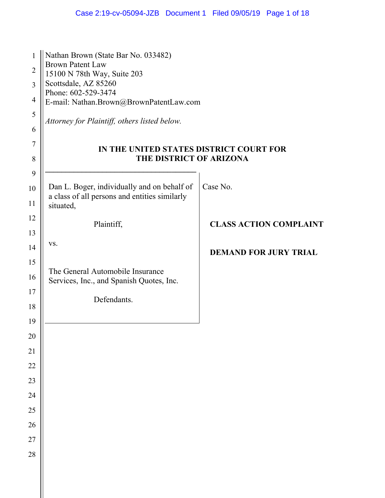| 1<br>$\overline{2}$<br>3<br>$\overline{4}$<br>5<br>6 | Nathan Brown (State Bar No. 033482)<br><b>Brown Patent Law</b><br>15100 N 78th Way, Suite 203<br>Scottsdale, AZ 85260<br>Phone: 602-529-3474<br>E-mail: Nathan.Brown@BrownPatentLaw.com<br>Attorney for Plaintiff, others listed below. |                               |
|------------------------------------------------------|-----------------------------------------------------------------------------------------------------------------------------------------------------------------------------------------------------------------------------------------|-------------------------------|
| 7<br>8                                               | IN THE UNITED STATES DISTRICT COURT FOR<br>THE DISTRICT OF ARIZONA                                                                                                                                                                      |                               |
| 9<br>10<br>11                                        | Dan L. Boger, individually and on behalf of<br>a class of all persons and entities similarly<br>situated,                                                                                                                               | Case No.                      |
| 12                                                   | Plaintiff,                                                                                                                                                                                                                              | <b>CLASS ACTION COMPLAINT</b> |
| 13                                                   | VS.                                                                                                                                                                                                                                     |                               |
| 14                                                   |                                                                                                                                                                                                                                         | <b>DEMAND FOR JURY TRIAL</b>  |
| 15<br>16                                             | The General Automobile Insurance<br>Services, Inc., and Spanish Quotes, Inc.                                                                                                                                                            |                               |
| 17                                                   | Defendants.                                                                                                                                                                                                                             |                               |
| 18                                                   |                                                                                                                                                                                                                                         |                               |
| 19                                                   |                                                                                                                                                                                                                                         |                               |
| 20                                                   |                                                                                                                                                                                                                                         |                               |
| 21                                                   |                                                                                                                                                                                                                                         |                               |
| 22                                                   |                                                                                                                                                                                                                                         |                               |
| 23                                                   |                                                                                                                                                                                                                                         |                               |
| 24                                                   |                                                                                                                                                                                                                                         |                               |
| 25<br>26                                             |                                                                                                                                                                                                                                         |                               |
| 27                                                   |                                                                                                                                                                                                                                         |                               |
| 28                                                   |                                                                                                                                                                                                                                         |                               |
|                                                      |                                                                                                                                                                                                                                         |                               |
|                                                      |                                                                                                                                                                                                                                         |                               |

 $\parallel$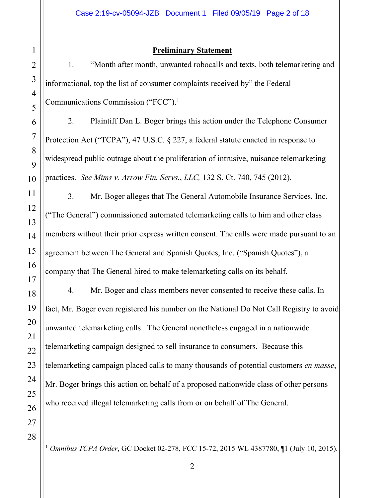# 1 2 3 4 5 6 7 8 9 10 11 12 13 14 15 16 17 18 19 20 21 22 23 24 25 26 27 28

### **Preliminary Statement**

1. "Month after month, unwanted robocalls and texts, both telemarketing and informational, top the list of consumer complaints received by" the Federal Communications Commission ("FCC"). 1

2. Plaintiff Dan L. Boger brings this action under the Telephone Consumer Protection Act ("TCPA"), 47 U.S.C. § 227, a federal statute enacted in response to widespread public outrage about the proliferation of intrusive, nuisance telemarketing practices. *See Mims v. Arrow Fin. Servs.*, *LLC,* 132 S. Ct. 740, 745 (2012).

3. Mr. Boger alleges that The General Automobile Insurance Services, Inc. ("The General") commissioned automated telemarketing calls to him and other class members without their prior express written consent. The calls were made pursuant to an agreement between The General and Spanish Quotes, Inc. ("Spanish Quotes"), a company that The General hired to make telemarketing calls on its behalf.

4. Mr. Boger and class members never consented to receive these calls. In fact, Mr. Boger even registered his number on the National Do Not Call Registry to avoid unwanted telemarketing calls. The General nonetheless engaged in a nationwide telemarketing campaign designed to sell insurance to consumers. Because this telemarketing campaign placed calls to many thousands of potential customers *en masse*, Mr. Boger brings this action on behalf of a proposed nationwide class of other persons who received illegal telemarketing calls from or on behalf of The General.

÷, <sup>1</sup> *Omnibus TCPA Order*, GC Docket 02-278, FCC 15-72, 2015 WL 4387780, ¶1 (July 10, 2015).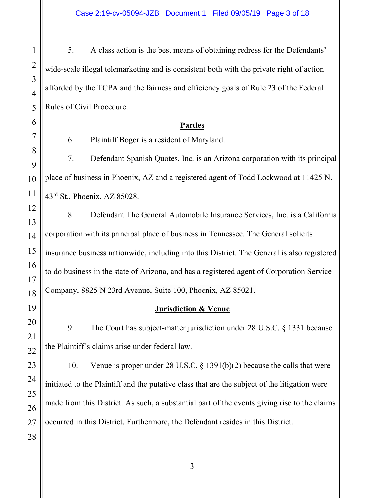5. A class action is the best means of obtaining redress for the Defendants' wide-scale illegal telemarketing and is consistent both with the private right of action afforded by the TCPA and the fairness and efficiency goals of Rule 23 of the Federal Rules of Civil Procedure.

#### **Parties**

6. Plaintiff Boger is a resident of Maryland.

7. Defendant Spanish Quotes, Inc. is an Arizona corporation with its principal place of business in Phoenix, AZ and a registered agent of Todd Lockwood at 11425 N. 43rd St., Phoenix, AZ 85028.

8. Defendant The General Automobile Insurance Services, Inc. is a California corporation with its principal place of business in Tennessee. The General solicits insurance business nationwide, including into this District. The General is also registered to do business in the state of Arizona, and has a registered agent of Corporation Service Company, 8825 N 23rd Avenue, Suite 100, Phoenix, AZ 85021.

## **Jurisdiction & Venue**

9. The Court has subject-matter jurisdiction under 28 U.S.C. § 1331 because the Plaintiff's claims arise under federal law.

10. Venue is proper under 28 U.S.C. § 1391(b)(2) because the calls that were initiated to the Plaintiff and the putative class that are the subject of the litigation were made from this District. As such, a substantial part of the events giving rise to the claims occurred in this District. Furthermore, the Defendant resides in this District.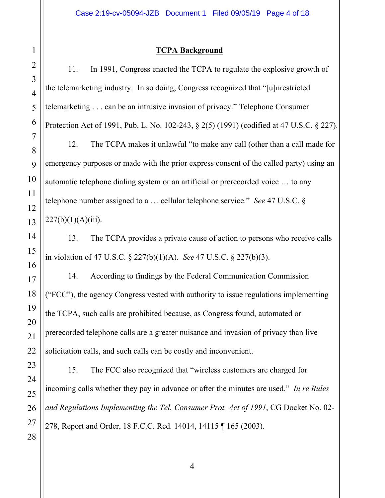### **TCPA Background**

2 3 4 5 11. In 1991, Congress enacted the TCPA to regulate the explosive growth of the telemarketing industry. In so doing, Congress recognized that "[u]nrestricted telemarketing . . . can be an intrusive invasion of privacy." Telephone Consumer Protection Act of 1991, Pub. L. No. 102-243, § 2(5) (1991) (codified at 47 U.S.C. § 227). 12. The TCPA makes it unlawful "to make any call (other than a call made for emergency purposes or made with the prior express consent of the called party) using an automatic telephone dialing system or an artificial or prerecorded voice … to any telephone number assigned to a … cellular telephone service." *See* 47 U.S.C. §  $227(b)(1)(A)(iii)$ . 13. The TCPA provides a private cause of action to persons who receive calls in violation of 47 U.S.C. § 227(b)(1)(A). *See* 47 U.S.C. § 227(b)(3). 14. According to findings by the Federal Communication Commission ("FCC"), the agency Congress vested with authority to issue regulations implementing the TCPA, such calls are prohibited because, as Congress found, automated or prerecorded telephone calls are a greater nuisance and invasion of privacy than live solicitation calls, and such calls can be costly and inconvenient. 15. The FCC also recognized that "wireless customers are charged for incoming calls whether they pay in advance or after the minutes are used." *In re Rules* 

278, Report and Order, 18 F.C.C. Rcd. 14014, 14115 ¶ 165 (2003).

1

*and Regulations Implementing the Tel. Consumer Prot. Act of 1991*, CG Docket No. 02-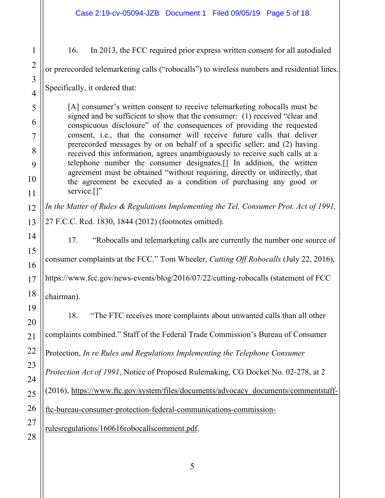16. In 2013, the FCC required prior express written consent for all autodialed

or prerecorded telemarketing calls ("robocalls") to wireless numbers and residential lines.

Specifically, it ordered that:

[A] consumer's written consent to receive telemarketing robocalls must be signed and be sufficient to show that the consumer: (1) received "clear and conspicuous disclosure" of the consequences of providing the requested consent, i.e., that the consumer will receive future calls that deliver prerecorded messages by or on behalf of a specific seller; and (2) having received this information, agrees unambiguously to receive such calls at a telephone number the consumer designates.[] In addition, the written agreement must be obtained "without requiring, directly or indirectly, that the agreement be executed as a condition of purchasing any good or service.<sup>[]"</sup>

*In the Matter of Rules & Regulations Implementing the Tel. Consumer Prot. Act of 1991,*  27 F.C.C. Rcd. 1830, 1844 (2012) (footnotes omitted).

17. "Robocalls and telemarketing calls are currently the number one source of

consumer complaints at the FCC." Tom Wheeler, *Cutting Off Robocalls* (July 22, 2016),

https://www.fcc.gov/news-events/blog/2016/07/22/cutting-robocalls (statement of FCC

chairman).

18. "The FTC receives more complaints about unwanted calls than all other complaints combined." Staff of the Federal Trade Commission's Bureau of Consumer Protection, *In re Rules and Regulations Implementing the Telephone Consumer Protection Act of 1991*, Notice of Proposed Rulemaking, CG Docket No. 02-278, at 2 (2016), https://www.ftc.gov/system/files/documents/advocacy\_documents/commentstaffftc-bureau-consumer-protection-federal-communications-commissionrulesregulations/160616robocallscomment.pdf.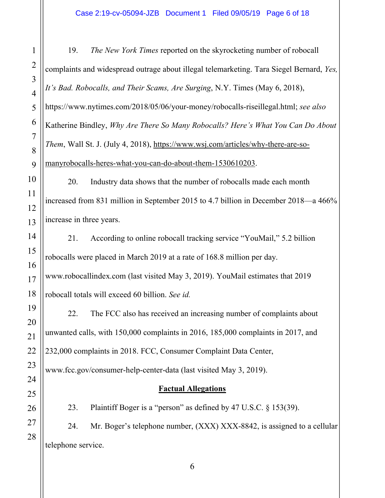19. *The New York Times* reported on the skyrocketing number of robocall complaints and widespread outrage about illegal telemarketing. Tara Siegel Bernard, *Yes, It's Bad. Robocalls, and Their Scams, Are Surging*, N.Y. Times (May 6, 2018), https://www.nytimes.com/2018/05/06/your-money/robocalls-riseillegal.html; *see also* Katherine Bindley, *Why Are There So Many Robocalls? Here's What You Can Do About Them*, Wall St. J. (July 4, 2018), https://www.wsj.com/articles/why-there-are-somanyrobocalls-heres-what-you-can-do-about-them-1530610203.

20. Industry data shows that the number of robocalls made each month increased from 831 million in September 2015 to 4.7 billion in December 2018—a 466% increase in three years.

21. According to online robocall tracking service "YouMail," 5.2 billion robocalls were placed in March 2019 at a rate of 168.8 million per day. www.robocallindex.com (last visited May 3, 2019). YouMail estimates that 2019 robocall totals will exceed 60 billion. *See id.*

22. The FCC also has received an increasing number of complaints about unwanted calls, with 150,000 complaints in 2016, 185,000 complaints in 2017, and 232,000 complaints in 2018. FCC, Consumer Complaint Data Center,

www.fcc.gov/consumer-help-center-data (last visited May 3, 2019).

# **Factual Allegations**

23. Plaintiff Boger is a "person" as defined by 47 U.S.C. § 153(39).

24. Mr. Boger's telephone number, (XXX) XXX-8842, is assigned to a cellular telephone service.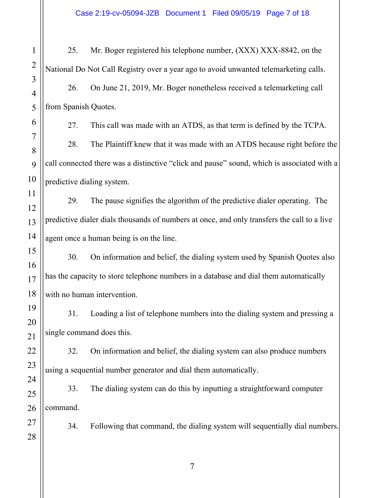25. Mr. Boger registered his telephone number, (XXX) XXX-8842, on the National Do Not Call Registry over a year ago to avoid unwanted telemarketing calls. 26. On June 21, 2019, Mr. Boger nonetheless received a telemarketing call from Spanish Quotes.

27. This call was made with an ATDS, as that term is defined by the TCPA.

28. The Plaintiff knew that it was made with an ATDS because right before the call connected there was a distinctive "click and pause" sound, which is associated with a predictive dialing system.

29. The pause signifies the algorithm of the predictive dialer operating. The predictive dialer dials thousands of numbers at once, and only transfers the call to a live agent once a human being is on the line.

30. On information and belief, the dialing system used by Spanish Quotes also has the capacity to store telephone numbers in a database and dial them automatically with no human intervention.

31. Loading a list of telephone numbers into the dialing system and pressing a single command does this.

32. On information and belief, the dialing system can also produce numbers using a sequential number generator and dial them automatically.

33. The dialing system can do this by inputting a straightforward computer command.

34. Following that command, the dialing system will sequentially dial numbers.

7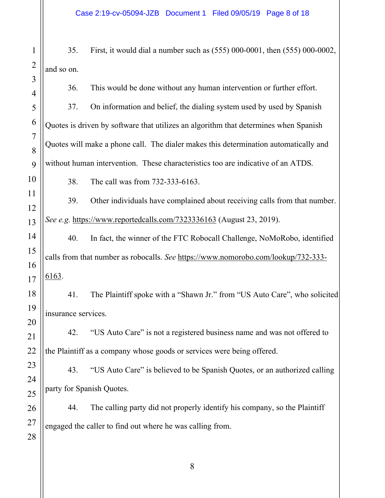35. First, it would dial a number such as (555) 000-0001, then (555) 000-0002, and so on.

36. This would be done without any human intervention or further effort.

37. On information and belief, the dialing system used by used by Spanish Quotes is driven by software that utilizes an algorithm that determines when Spanish Quotes will make a phone call. The dialer makes this determination automatically and without human intervention. These characteristics too are indicative of an ATDS.

38. The call was from 732-333-6163.

39. Other individuals have complained about receiving calls from that number. *See e.g.* https://www.reportedcalls.com/7323336163 (August 23, 2019).

40. In fact, the winner of the FTC Robocall Challenge, NoMoRobo, identified calls from that number as robocalls. *See* https://www.nomorobo.com/lookup/732-333- 6163.

41. The Plaintiff spoke with a "Shawn Jr." from "US Auto Care", who solicited insurance services.

42. "US Auto Care" is not a registered business name and was not offered to the Plaintiff as a company whose goods or services were being offered.

43. "US Auto Care" is believed to be Spanish Quotes, or an authorized calling party for Spanish Quotes.

44. The calling party did not properly identify his company, so the Plaintiff engaged the caller to find out where he was calling from.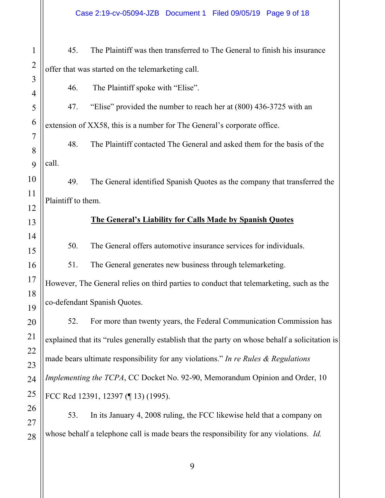45. The Plaintiff was then transferred to The General to finish his insurance offer that was started on the telemarketing call.

46. The Plaintiff spoke with "Elise".

47. "Elise" provided the number to reach her at (800) 436-3725 with an extension of XX58, this is a number for The General's corporate office.

48. The Plaintiff contacted The General and asked them for the basis of the call.

49. The General identified Spanish Quotes as the company that transferred the Plaintiff to them.

#### **The General's Liability for Calls Made by Spanish Quotes**

50. The General offers automotive insurance services for individuals.

51. The General generates new business through telemarketing.

However, The General relies on third parties to conduct that telemarketing, such as the co-defendant Spanish Quotes.

52. For more than twenty years, the Federal Communication Commission has explained that its "rules generally establish that the party on whose behalf a solicitation is made bears ultimate responsibility for any violations." *In re Rules & Regulations Implementing the TCPA*, CC Docket No. 92-90, Memorandum Opinion and Order, 10 FCC Rcd 12391, 12397 (¶ 13) (1995).

53. In its January 4, 2008 ruling, the FCC likewise held that a company on whose behalf a telephone call is made bears the responsibility for any violations. *Id.*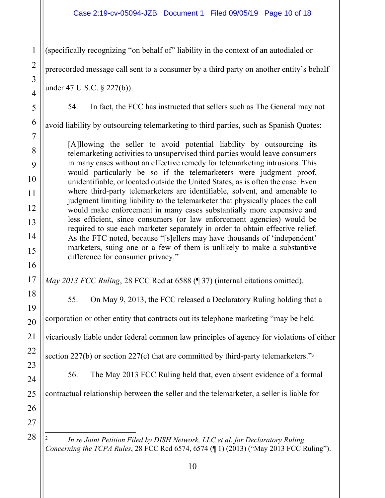(specifically recognizing "on behalf of" liability in the context of an autodialed or

prerecorded message call sent to a consumer by a third party on another entity's behalf

under 47 U.S.C. § 227(b)).

1

2

3

4

5

6

7

8

9

10

11

12

13

14

15

16

17

18

19

20

21

22

23

24

25

26

54. In fact, the FCC has instructed that sellers such as The General may not

avoid liability by outsourcing telemarketing to third parties, such as Spanish Quotes:

[A]llowing the seller to avoid potential liability by outsourcing its telemarketing activities to unsupervised third parties would leave consumers in many cases without an effective remedy for telemarketing intrusions. This would particularly be so if the telemarketers were judgment proof, unidentifiable, or located outside the United States, as is often the case. Even where third-party telemarketers are identifiable, solvent, and amenable to judgment limiting liability to the telemarketer that physically places the call would make enforcement in many cases substantially more expensive and less efficient, since consumers (or law enforcement agencies) would be required to sue each marketer separately in order to obtain effective relief. As the FTC noted, because "[s]ellers may have thousands of 'independent' marketers, suing one or a few of them is unlikely to make a substantive difference for consumer privacy."

*May 2013 FCC Ruling*, 28 FCC Rcd at 6588 (¶ 37) (internal citations omitted).

55. On May 9, 2013, the FCC released a Declaratory Ruling holding that a corporation or other entity that contracts out its telephone marketing "may be held vicariously liable under federal common law principles of agency for violations of either section 227(b) or section 227(c) that are committed by third-party telemarketers." $\frac{1}{2}$ 

56. The May 2013 FCC Ruling held that, even absent evidence of a formal

contractual relationship between the seller and the telemarketer, a seller is liable for

27 28

<sup>÷</sup> <sup>2</sup> *In re Joint Petition Filed by DISH Network, LLC et al. for Declaratory Ruling Concerning the TCPA Rules*, 28 FCC Rcd 6574, 6574 (¶ 1) (2013) ("May 2013 FCC Ruling").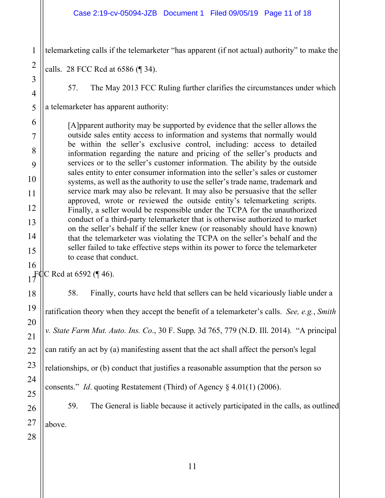#### Case 2:19-cv-05094-JZB Document 1 Filed 09/05/19 Page 11 of 18

telemarketing calls if the telemarketer "has apparent (if not actual) authority" to make the

calls. 28 FCC Rcd at 6586 (¶ 34).

1

2

3

4

5

6

7

8

9

10

11

12

13

14

15

16

18

19

20

21

22

23

24

25

26

27

28

57. The May 2013 FCC Ruling further clarifies the circumstances under which

a telemarketer has apparent authority:

[A]pparent authority may be supported by evidence that the seller allows the outside sales entity access to information and systems that normally would be within the seller's exclusive control, including: access to detailed information regarding the nature and pricing of the seller's products and services or to the seller's customer information. The ability by the outside sales entity to enter consumer information into the seller's sales or customer systems, as well as the authority to use the seller's trade name, trademark and service mark may also be relevant. It may also be persuasive that the seller approved, wrote or reviewed the outside entity's telemarketing scripts. Finally, a seller would be responsible under the TCPA for the unauthorized conduct of a third-party telemarketer that is otherwise authorized to market on the seller's behalf if the seller knew (or reasonably should have known) that the telemarketer was violating the TCPA on the seller's behalf and the seller failed to take effective steps within its power to force the telemarketer to cease that conduct.

17  $\mathbb{F}$ QC Rcd at 6592 (¶ 46).

> 58. Finally, courts have held that sellers can be held vicariously liable under a ratification theory when they accept the benefit of a telemarketer's calls. *See, e.g.*, *Smith v. State Farm Mut. Auto. Ins. Co*., 30 F. Supp. 3d 765, 779 (N.D. Ill. 2014). "A principal can ratify an act by (a) manifesting assent that the act shall affect the person's legal relationships, or (b) conduct that justifies a reasonable assumption that the person so consents." *Id*. quoting Restatement (Third) of Agency § 4.01(1) (2006). 59. The General is liable because it actively participated in the calls, as outlined above.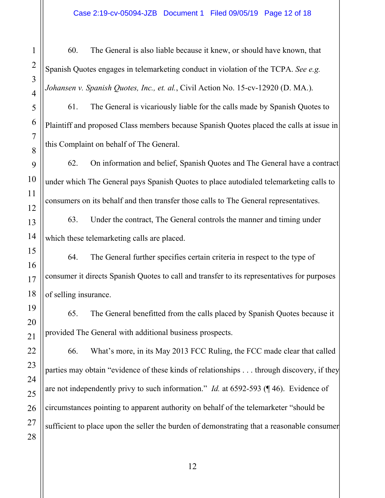60. The General is also liable because it knew, or should have known, that Spanish Quotes engages in telemarketing conduct in violation of the TCPA. *See e.g. Johansen v. Spanish Quotes, Inc., et. al.*, Civil Action No. 15-cv-12920 (D. MA.).

61. The General is vicariously liable for the calls made by Spanish Quotes to Plaintiff and proposed Class members because Spanish Quotes placed the calls at issue in this Complaint on behalf of The General.

62. On information and belief, Spanish Quotes and The General have a contract under which The General pays Spanish Quotes to place autodialed telemarketing calls to consumers on its behalf and then transfer those calls to The General representatives.

63. Under the contract, The General controls the manner and timing under which these telemarketing calls are placed.

64. The General further specifies certain criteria in respect to the type of consumer it directs Spanish Quotes to call and transfer to its representatives for purposes of selling insurance.

65. The General benefitted from the calls placed by Spanish Quotes because it provided The General with additional business prospects.

66. What's more, in its May 2013 FCC Ruling, the FCC made clear that called parties may obtain "evidence of these kinds of relationships . . . through discovery, if they are not independently privy to such information." *Id.* at 6592-593 (¶ 46). Evidence of circumstances pointing to apparent authority on behalf of the telemarketer "should be sufficient to place upon the seller the burden of demonstrating that a reasonable consumer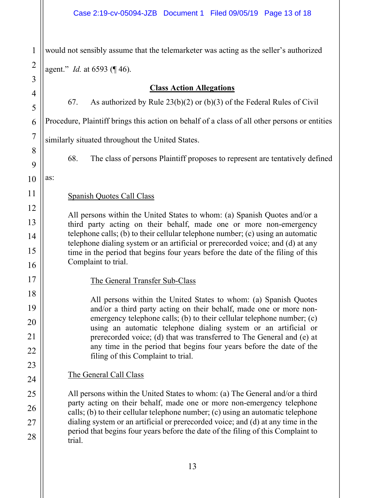1 2 3 4 5 6 7 8 9 10 11 12 13 14 15 16 17 18 19 would not sensibly assume that the telemarketer was acting as the seller's authorized agent." *Id.* at 6593 (¶ 46). **Class Action Allegations** 67. As authorized by Rule 23(b)(2) or (b)(3) of the Federal Rules of Civil Procedure, Plaintiff brings this action on behalf of a class of all other persons or entities similarly situated throughout the United States. 68. The class of persons Plaintiff proposes to represent are tentatively defined as: Spanish Quotes Call Class All persons within the United States to whom: (a) Spanish Quotes and/or a third party acting on their behalf, made one or more non-emergency telephone calls; (b) to their cellular telephone number; (c) using an automatic telephone dialing system or an artificial or prerecorded voice; and (d) at any time in the period that begins four years before the date of the filing of this Complaint to trial. The General Transfer Sub-Class All persons within the United States to whom: (a) Spanish Quotes and/or a third party acting on their behalf, made one or more nonemergency telephone calls; (b) to their cellular telephone number; (c) using an automatic telephone dialing system or an artificial or prerecorded voice; (d) that was transferred to The General and (e) at any time in the period that begins four years before the date of the filing of this Complaint to trial. The General Call Class All persons within the United States to whom: (a) The General and/or a third party acting on their behalf, made one or more non-emergency telephone calls; (b) to their cellular telephone number; (c) using an automatic telephone dialing system or an artificial or prerecorded voice; and (d) at any time in the period that begins four years before the date of the filing of this Complaint to trial.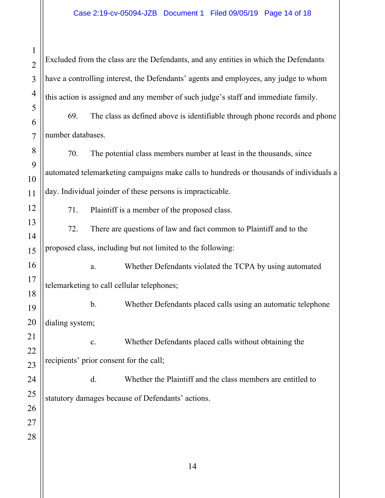Excluded from the class are the Defendants, and any entities in which the Defendants have a controlling interest, the Defendants' agents and employees, any judge to whom this action is assigned and any member of such judge's staff and immediate family.

69. The class as defined above is identifiable through phone records and phone number databases.

70. The potential class members number at least in the thousands, since automated telemarketing campaigns make calls to hundreds or thousands of individuals a day. Individual joinder of these persons is impracticable.

71. Plaintiff is a member of the proposed class.

72. There are questions of law and fact common to Plaintiff and to the proposed class, including but not limited to the following:

a. Whether Defendants violated the TCPA by using automated telemarketing to call cellular telephones;

b. Whether Defendants placed calls using an automatic telephone dialing system;

c. Whether Defendants placed calls without obtaining the recipients' prior consent for the call;

d. Whether the Plaintiff and the class members are entitled to statutory damages because of Defendants' actions.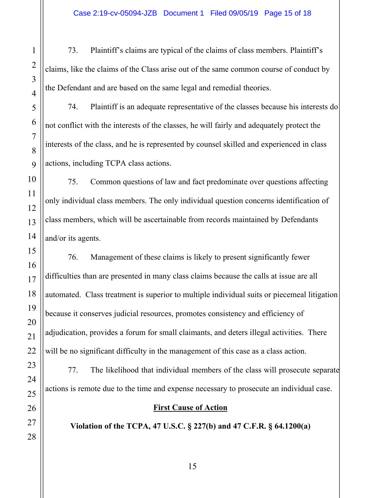73. Plaintiff's claims are typical of the claims of class members. Plaintiff's claims, like the claims of the Class arise out of the same common course of conduct by the Defendant and are based on the same legal and remedial theories.

74. Plaintiff is an adequate representative of the classes because his interests do not conflict with the interests of the classes, he will fairly and adequately protect the interests of the class, and he is represented by counsel skilled and experienced in class actions, including TCPA class actions.

75. Common questions of law and fact predominate over questions affecting only individual class members. The only individual question concerns identification of class members, which will be ascertainable from records maintained by Defendants and/or its agents.

76. Management of these claims is likely to present significantly fewer difficulties than are presented in many class claims because the calls at issue are all automated. Class treatment is superior to multiple individual suits or piecemeal litigation because it conserves judicial resources, promotes consistency and efficiency of adjudication, provides a forum for small claimants, and deters illegal activities. There will be no significant difficulty in the management of this case as a class action.

77. The likelihood that individual members of the class will prosecute separate actions is remote due to the time and expense necessary to prosecute an individual case.

## **First Cause of Action**

**Violation of the TCPA, 47 U.S.C. § 227(b) and 47 C.F.R. § 64.1200(a)**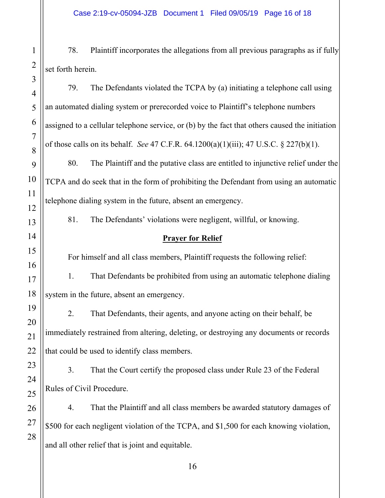78. Plaintiff incorporates the allegations from all previous paragraphs as if fully set forth herein.

79. The Defendants violated the TCPA by (a) initiating a telephone call using an automated dialing system or prerecorded voice to Plaintiff's telephone numbers assigned to a cellular telephone service, or (b) by the fact that others caused the initiation of those calls on its behalf. *See* 47 C.F.R. 64.1200(a)(1)(iii); 47 U.S.C. § 227(b)(1).

80. The Plaintiff and the putative class are entitled to injunctive relief under the TCPA and do seek that in the form of prohibiting the Defendant from using an automatic telephone dialing system in the future, absent an emergency.

81. The Defendants' violations were negligent, willful, or knowing.

## **Prayer for Relief**

For himself and all class members, Plaintiff requests the following relief:

1. That Defendants be prohibited from using an automatic telephone dialing system in the future, absent an emergency.

2. That Defendants, their agents, and anyone acting on their behalf, be immediately restrained from altering, deleting, or destroying any documents or records that could be used to identify class members.

3. That the Court certify the proposed class under Rule 23 of the Federal Rules of Civil Procedure.

4. That the Plaintiff and all class members be awarded statutory damages of \$500 for each negligent violation of the TCPA, and \$1,500 for each knowing violation, and all other relief that is joint and equitable.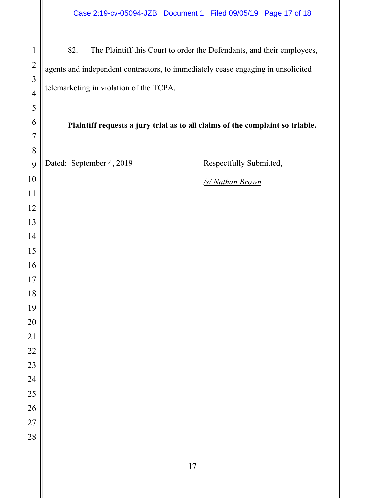82. The Plaintiff this Court to order the Defendants, and their employees, agents and independent contractors, to immediately cease engaging in unsolicited telemarketing in violation of the TCPA.

**Plaintiff requests a jury trial as to all claims of the complaint so triable.**

Dated: September 4, 2019 Respectfully Submitted,

*/s/ Nathan Brown*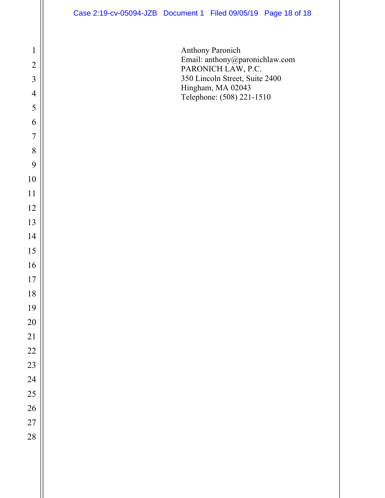Anthony Paronich Email: anthony@paronichlaw.com PARONICH LAW, P.C. 350 Lincoln Street, Suite 2400 Hingham, MA 02043 Telephone: (508) 221-1510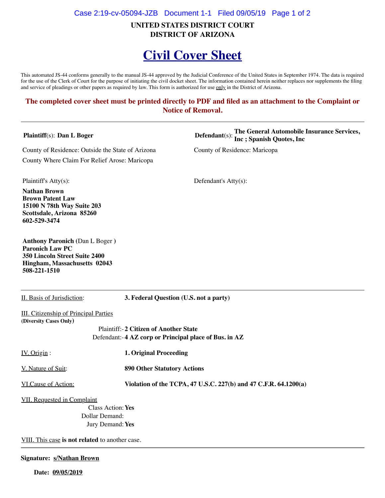#### Case 2:19-cv-05094-JZB Document 1-1 Filed 09/05/19 Page 1 of 2

**UNITED STATES DISTRICT COURT DISTRICT OF ARIZONA**

# **Civil Cover Sheet**

This automated JS-44 conforms generally to the manual JS-44 approved by the Judicial Conference of the United States in September 1974. The data is required for the use of the Clerk of Court for the purpose of initiating the civil docket sheet. The information contained herein neither replaces nor supplements the filing and service of pleadings or other papers as required by law. This form is authorized for use only in the District of Arizona.

#### **The completed cover sheet must be printed directly to PDF and filed as an attachment to the Complaint or Notice of Removal.**

County of Residence: Outside the State of Arizona County of Residence: Maricopa County Where Claim For Relief Arose: Maricopa

**Plaintiff**(s): **Dan L Boger Defendant**(s): **The General Automobile Insurance Services, Inc ; Spanish Quotes, Inc**

Plaintiff's Atty(s): Defendant's Atty(s):

**Nathan Brown Brown Patent Law 15100 N 78th Way Suite 203 Scottsdale, Arizona 85260 602-529-3474**

**Anthony Paronich (**Dan L Boger **) Paronich Law PC 350 Lincoln Street Suite 2400 Hingham, Massachusetts 02043 508-221-1510**

II. Basis of Jurisdiction: **3. Federal Question (U.S. not a party)**

**III.** Citizenship of Principal Parties **(Diversity Cases Only)**

> Plaintiff:- **2 Citizen of Another State** Defendant:- **4 AZ corp or Principal place of Bus. in AZ**

IV. Origin : **1. Original Proceeding**

V. Nature of Suit: **890 Other Statutory Actions**

VI.Cause of Action: **Violation of the TCPA, 47 U.S.C. 227(b) and 47 C.F.R. 64.1200(a)**

VII. Requested in Complaint

Class Action:**Yes** Dollar Demand: Jury Demand:**Yes**

VIII. This case **is not related** to another case.

#### **Signature: s/Nathan Brown**

 **Date: 09/05/2019**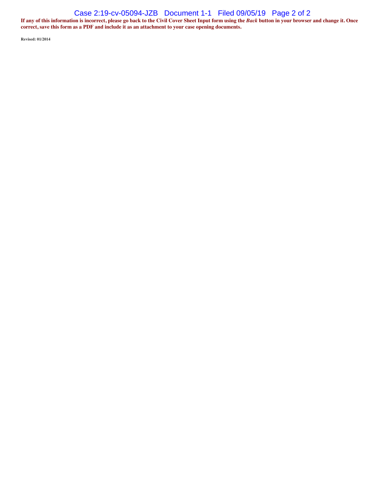#### Case 2:19-cv-05094-JZB Document 1-1 Filed 09/05/19 Page 2 of 2

**If any of this information is incorrect, please go back to the Civil Cover Sheet Input form using the** *Back* **button in your browser and change it. Once correct, save this form as a PDF and include it as an attachment to your case opening documents.**

**Revised: 01/2014**